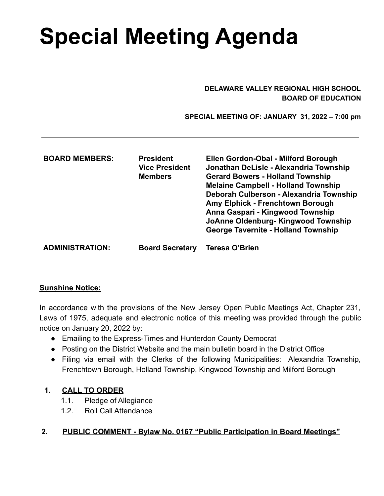# **Special Meeting Agenda**

#### **DELAWARE VALLEY REGIONAL HIGH SCHOOL BOARD OF EDUCATION**

 **SPECIAL MEETING OF: JANUARY 31, 2022 – 7:00 pm**

| <b>BOARD MEMBERS:</b>  | <b>President</b><br><b>Vice President</b><br><b>Members</b> | Ellen Gordon-Obal - Milford Borough<br>Jonathan DeLisle - Alexandria Township<br><b>Gerard Bowers - Holland Township</b><br><b>Melaine Campbell - Holland Township</b><br>Deborah Culberson - Alexandria Township<br>Amy Elphick - Frenchtown Borough<br>Anna Gaspari - Kingwood Township<br>JoAnne Oldenburg-Kingwood Township<br><b>George Tavernite - Holland Township</b> |
|------------------------|-------------------------------------------------------------|-------------------------------------------------------------------------------------------------------------------------------------------------------------------------------------------------------------------------------------------------------------------------------------------------------------------------------------------------------------------------------|
| <b>ADMINISTRATION:</b> | <b>Board Secretary</b>                                      | Teresa O'Brien                                                                                                                                                                                                                                                                                                                                                                |

#### **Sunshine Notice:**

In accordance with the provisions of the New Jersey Open Public Meetings Act, Chapter 231, Laws of 1975, adequate and electronic notice of this meeting was provided through the public notice on January 20, 2022 by:

- Emailing to the Express-Times and Hunterdon County Democrat
- Posting on the District Website and the main bulletin board in the District Office
- Filing via email with the Clerks of the following Municipalities: Alexandria Township, Frenchtown Borough, Holland Township, Kingwood Township and Milford Borough

## **1. CALL TO ORDER**

- 1.1. Pledge of Allegiance
- 1.2. Roll Call Attendance

## **2. PUBLIC COMMENT - Bylaw No. 0167 "Public Participation in Board Meetings"**